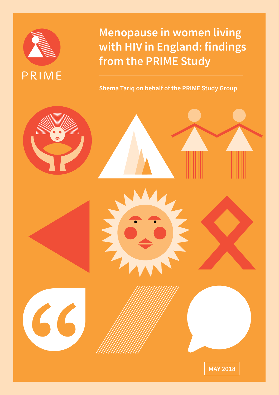

**Menopause in women living with HIV in England: findings from the PRIME Study**

**Shema Tariq on behalf of the PRIME Study Group**

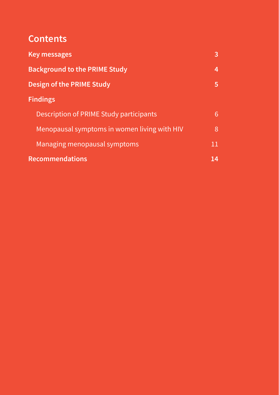## **Contents**

| <b>Key messages</b>                          | 3  |
|----------------------------------------------|----|
| <b>Background to the PRIME Study</b>         | 4  |
| Design of the PRIME Study                    | 5  |
| <b>Findings</b>                              |    |
| Description of PRIME Study participants      | 6  |
| Menopausal symptoms in women living with HIV | 8  |
| Managing menopausal symptoms                 | 11 |
| <b>Recommendations</b>                       | 14 |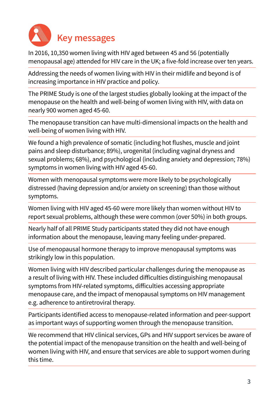<span id="page-2-0"></span>

In 2016, 10,350 women living with HIV aged between 45 and 56 (potentially menopausal age) attended for HIV care in the UK; a five-fold increase over ten years.

Addressing the needs of women living with HIV in their midlife and beyond is of increasing importance in HIV practice and policy.

The PRIME Study is one of the largest studies globally looking at the impact of the menopause on the health and well-being of women living with HIV, with data on nearly 900 women aged 45-60.

The menopause transition can have multi-dimensional impacts on the health and well-being of women living with HIV.

We found a high prevalence of somatic (including hot flushes, muscle and joint pains and sleep disturbance; 89%), urogenital (including vaginal dryness and sexual problems; 68%), and psychological (including anxiety and depression; 78%) symptoms in women living with HIV aged 45-60.

Women with menopausal symptoms were more likely to be psychologically distressed (having depression and/or anxiety on screening) than those without symptoms.

Women living with HIV aged 45-60 were more likely than women without HIV to report sexual problems, although these were common (over 50%) in both groups.

Nearly half of all PRIME Study participants stated they did not have enough information about the menopause, leaving many feeling under-prepared.

Use of menopausal hormone therapy to improve menopausal symptoms was strikingly low in this population.

Women living with HIV described particular challenges during the menopause as a result of living with HIV. These included difficulties distinguishing menopausal symptoms from HIV-related symptoms, difficulties accessing appropriate menopause care, and the impact of menopausal symptoms on HIV management e.g. adherence to antiretroviral therapy.

Participants identified access to menopause-related information and peer-support as important ways of supporting women through the menopause transition.

We recommend that HIV clinical services, GPs and HIV support services be aware of the potential impact of the menopause transition on the health and well-being of women living with HIV, and ensure that services are able to support women during this time.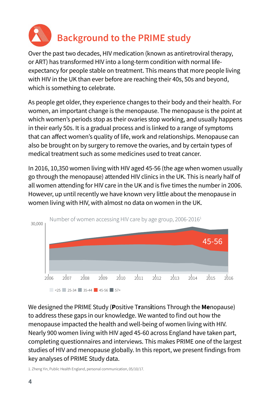<span id="page-3-0"></span>

# **Background to the PRIME study**

Over the past two decades, HIV medication (known as antiretroviral therapy, or ART) has transformed HIV into a long-term condition with normal lifeexpectancy for people stable on treatment. This means that more people living with HIV in the UK than ever before are reaching their 40s, 50s and beyond, which is something to celebrate.

As people get older, they experience changes to their body and their health. For women, an important change is the menopause. The menopause is the point at which women's periods stop as their ovaries stop working, and usually happens in their early 50s. It is a gradual process and is linked to a range of symptoms that can affect women's quality of life, work and relationships. Menopause can also be brought on by surgery to remove the ovaries, and by certain types of medical treatment such as some medicines used to treat cancer.

In 2016, 10,350 women living with HIV aged 45-56 (the age when women usually go through the menopause) attended HIV clinics in the UK. This is nearly half of all women attending for HIV care in the UK and is five times the number in 2006. However, up until recently we have known very little about the menopause in women living with HIV, with almost no data on women in the UK.



We designed the PRIME Study (**P**ositive T**r**ans**i**tions Through the **Me**nopause) to address these gaps in our knowledge. We wanted to find out how the menopause impacted the health and well-being of women living with HIV. Nearly 900 women living with HIV aged 45-60 across England have taken part, completing questionnaires and interviews. This makes PRIME one of the largest studies of HIV and menopause globally. In this report, we present findings from key analyses of PRIME Study data.

1. Zheng Yin, Public Health England, personal communication, 05/10/17.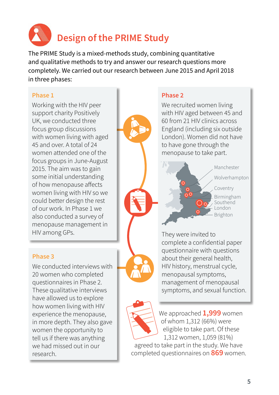<span id="page-4-0"></span>

The PRIME Study is a mixed-methods study, combining quantitative and qualitative methods to try and answer our research questions more completely. We carried out our research between June 2015 and April 2018 in three phases:

#### **Phase 1**

Working with the HIV peer support charity Positively UK, we conducted three focus group discussions with women living with aged 45 and over. A total of 24 women attended one of the focus groups in June-August 2015. The aim was to gain some initial understanding of how menopause affects women living with HIV so we could better design the rest of our work. In Phase 1 we also conducted a survey of menopause management in HIV among GPs.

#### **Phase 3**

We conducted interviews with 20 women who completed questionnaires in Phase 2. These qualitative interviews have allowed us to explore how women living with HIV experience the menopause, in more depth. They also gave women the opportunity to tell us if there was anything we had missed out in our research.

#### **Phase 2**

We recruited women living with HIV aged between 45 and 60 from 21 HIV clinics across England (including six outside London). Women did not have to have gone through the menopause to take part.



They were invited to complete a confidential paper questionnaire with questions about their general health, HIV history, menstrual cycle, menopausal symptoms, management of menopausal symptoms, and sexual function.

![](_page_4_Picture_11.jpeg)

We approached **1,999** women of whom 1,312 (66%) were eligible to take part. Of these 1,312 women, 1,059 (81%)

agreed to take part in the study. We have completed questionnaires on **869** women.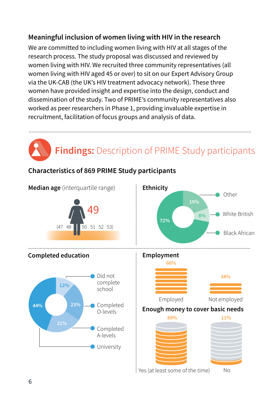## <span id="page-5-0"></span>**Meaningful inclusion of women living with HIV in the research**

We are committed to including women living with HIV at all stages of the research process. The study proposal was discussed and reviewed by women living with HIV. We recruited three community representatives (all women living with HIV aged 45 or over) to sit on our Expert Advisory Group via the UK-CAB (the UK's HIV treatment advocacy network). These three women have provided insight and expertise into the design, conduct and dissemination of the study. Two of PRIME's community representatives also worked as peer researchers in Phase 1, providing invaluable expertise in recruitment, facilitation of focus groups and analysis of data.

# **Findings:** Description of PRIME Study participants

## **Characteristics of 869 PRIME Study participants**

![](_page_5_Figure_4.jpeg)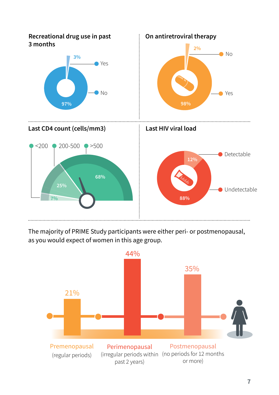![](_page_6_Figure_0.jpeg)

The majority of PRIME Study participants were either peri- or postmenopausal, as you would expect of women in this age group.

![](_page_6_Figure_2.jpeg)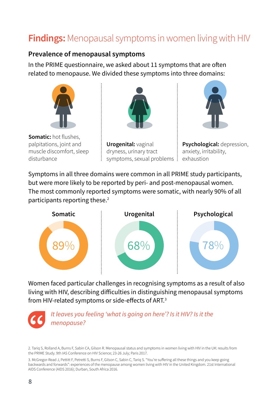## <span id="page-7-0"></span>**Findings:** Menopausal symptoms in women living with HIV

#### **Prevalence of menopausal symptoms**

In the PRIME questionnaire, we asked about 11 symptoms that are often related to menopause. We divided these symptoms into three domains:

![](_page_7_Picture_3.jpeg)

**Somatic:** hot flushes, palpitations, joint and muscle discomfort, sleep disturbance

![](_page_7_Picture_5.jpeg)

![](_page_7_Picture_6.jpeg)

![](_page_7_Picture_7.jpeg)

**Psychological:** depression, anxiety, irritability,

Symptoms in all three domains were common in all PRIME study participants, but were more likely to be reported by peri- and post-menopausal women. The most commonly reported symptoms were somatic, with nearly 90% of all participants reporting these.<sup>2</sup>

![](_page_7_Figure_10.jpeg)

Women faced particular challenges in recognising symptoms as a result of also living with HIV, describing difficulties in distinguishing menopausal symptoms from HIV-related symptoms or side-effects of ART.<sup>3</sup>

![](_page_7_Picture_12.jpeg)

<sup>2.</sup> Tariq S, Rolland A, Burns F, Sabin CA, Gilson R. Menopausal status and symptoms in women living with HIV in the UK: results from the PRIME Study. 9th IAS Conference on HIV Science; 23-26 July; Paris 2017.

<sup>3.</sup> McGregor-Read J, Pettitt F, Petretti S, Burns F, Gilson C, Sabin C, Tariq S. "You're suffering all these things and you keep going backwards and forwards": experiences of the menopause among women living with HIV in the United Kingdom. 21st International AIDS Conference (AIDS 2016); Durban, South Africa 2016.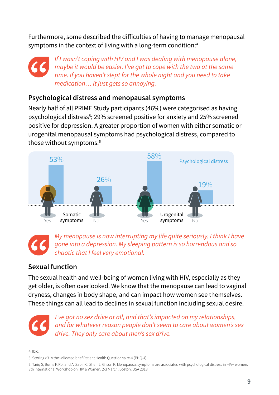Furthermore, some described the difficulties of having to manage menopausal symptoms in the context of living with a long-term condition:<sup>4</sup>

*If I wasn't coping with HIV and I was dealing with menopause alone, maybe it would be easier. I've got to cope with the two at the same time. If you haven't slept for the whole night and you need to take medication… it just gets so annoying.*

## **Psychological distress and menopausal symptoms**

Nearly half of all PRIME Study participants (46%) were categorised as having psychological distress<sup>5</sup>; 29% screened positive for anxiety and 25% screened positive for depression. A greater proportion of women with either somatic or urogenital menopausal symptoms had psychological distress, compared to those without symptoms.<sup>6</sup>

![](_page_8_Figure_4.jpeg)

*My menopause is now interrupting my life quite seriously. I think I have gone into a depression. My sleeping pattern is so horrendous and so chaotic that I feel very emotional.* 

## **Sexual function**

The sexual health and well-being of women living with HIV, especially as they get older, is often overlooked. We know that the menopause can lead to vaginal dryness, changes in body shape, and can impact how women see themselves. These things can all lead to declines in sexual function including sexual desire.

![](_page_8_Picture_8.jpeg)

*I've got no sex drive at all, and that's impacted on my relationships, and for whatever reason people don't seem to care about women's sex drive. They only care about men's sex drive.* 

4. Ibid.

5. Scoring ≥3 in the validated brief Patient Health Questionnaire-4 (PHQ-4).

6. Tariq S, Burns F, Rolland A, Sabin C, Sherr L, Gilson R. Menopausal symptoms are associated with psychological distress in HIV+ women. 8th International Workshop on HIV & Women; 2-3 March; Boston, USA 2018.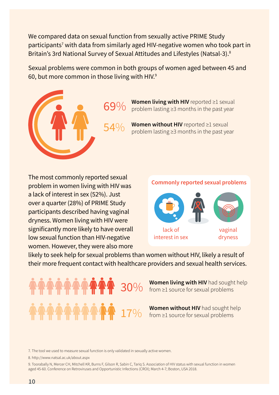We compared data on sexual function from sexually active PRIME Study participants<sup>7</sup> with data from similarly aged HIV-negative women who took part in Britain's 3rd National Survey of Sexual Attitudes and Lifestyles (Natsal-3).<sup>8</sup>

Sexual problems were common in both groups of women aged between 45 and 60, but more common in those living with HIV.<sup>9</sup>

![](_page_9_Picture_2.jpeg)

**Women living with HIV** reported ≥1 sexual problem lasting ≥3 months in the past year

**Women without HIV** reported ≥1 sexual problem lasting ≥3 months in the past year

The most commonly reported sexual problem in women living with HIV was a lack of interest in sex (52%). Just over a quarter (28%) of PRIME Study participants described having vaginal dryness. Women living with HIV were significantly more likely to have overall low sexual function than HIV-negative women. However, they were also more

#### **Commonly reported sexual problems**

![](_page_9_Picture_7.jpeg)

likely to seek help for sexual problems than women without HIV, likely a result of their more frequent contact with healthcare providers and sexual health services.

> **Women living with HIV** had sought help **30**% women uving with HIV had sough<br>**30**% from ≥1 source for sexual problems

**Women without HIV** had sought help  $17\%$  from  $\geq 1$  source for sexual problems

7. The tool we used to measure sexual function is only validated in sexually active women.

8. [http://www.natsal.ac.uk/about.aspx](http://www.natsal.ac.uk/about.aspx ) 

9. Toorabally N, Mercer CH, Mitchell KR, Burns F, Gilson R, Sabin C, Tariq S. Association of HIV status with sexual function in women aged 45-60. Conference on Retroviruses and Opportunistic Infections (CROI); March 4-7; Boston, USA 2018.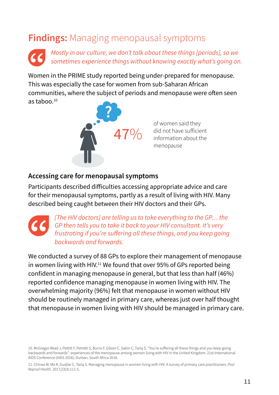## <span id="page-10-0"></span>**Findings:** Managing menopausal symptoms

*Mostly in our culture, we don't talk about these things [periods], so we sometimes experience things without knowing exactly what's going on.*

Women in the PRIME study reported being under-prepared for menopause. This was especially the case for women from sub-Saharan African communities, where the subject of periods and menopause were often seen as tahoo $10$ 

![](_page_10_Picture_3.jpeg)

of women said they did not have sufficient information about the menopause

## **Accessing care for menopausal symptoms**

Participants described difficulties accessing appropriate advice and care for their menopausal symptoms, partly as a result of living with HIV. Many described being caught between their HIV doctors and their GPs.

*[The HIV doctors] are telling us to take everything to the GP… the GP then tells you to take it back to your HIV consultant. It's very frustrating if you're suffering all these things, and you keep going backwards and forwards.*

We conducted a survey of 88 GPs to explore their management of menopause in women living with HIV.<sup>11</sup> We found that over 95% of GPs reported being confident in managing menopause in general, but that less than half (46%) reported confidence managing menopause in women living with HIV. The overwhelming majority (96%) felt that menopause in women without HIV should be routinely managed in primary care, whereas just over half thought that menopause in women living with HIV should be managed in primary care.

10. McGregor-Read J, Pettitt F, Petretti S, Burns F, Gilson C, Sabin C, Tariq S. "You're suffering all these things and you keep going backwards and forwards": experiences of the menopause among women living with HIV in the United Kingdom. 21st International AIDS Conference (AIDS 2016); Durban, South Africa 2016.

11. Chirwa M, Ma R, Guallar C, Tariq S. Managing menopause in women living with HIV: A survey of primary care practitioners. *Post Reprod Health*. 2017;23(3):111-5.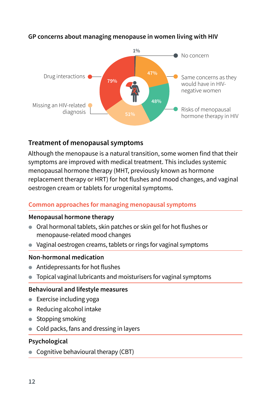![](_page_11_Figure_0.jpeg)

#### **GP concerns about managing menopause in women living with HIV**

## **Treatment of menopausal symptoms**

Although the menopause is a natural transition, some women find that their symptoms are improved with medical treatment. This includes systemic menopausal hormone therapy (MHT, previously known as hormone replacement therapy or HRT) for hot flushes and mood changes, and vaginal oestrogen cream or tablets for urogenital symptoms.

#### **Common approaches for managing menopausal symptoms**

#### **Menopausal hormone therapy**

- Oral hormonal tablets, skin patches or skin gel for hot flushes or menopause-related mood changes
- Vaginal oestrogen creams, tablets or rings for vaginal symptoms

#### **Non-hormonal medication**

- Antidepressants for hot flushes
- Topical vaginal lubricants and moisturisers for vaginal symptoms

#### **Behavioural and lifestyle measures**

- Exercise including yoga
- Reducing alcohol intake
- Stopping smoking
- Cold packs, fans and dressing in layers

#### **Psychological**

● Cognitive behavioural therapy (CBT)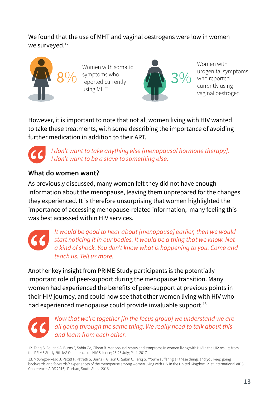We found that the use of MHT and vaginal oestrogens were low in women we surveyed.<sup>12</sup>

![](_page_12_Picture_1.jpeg)

Women with somatic 8% symptoms who 3% 3% reported currently using MHT

![](_page_12_Picture_3.jpeg)

Women with urogenital symptoms who reported currently using vaginal oestrogen

However, it is important to note that not all women living with HIV wanted to take these treatments, with some describing the importance of avoiding further medication in addition to their ART.

*I don't want to take anything else [menopausal hormone therapy]. I don't want to be a slave to something else.*

## **What do women want?**

As previously discussed, many women felt they did not have enough information about the menopause, leaving them unprepared for the changes they experienced. It is therefore unsurprising that women highlighted the importance of accessing menopause-related information, many feeling this was best accessed within HIV services

![](_page_12_Picture_9.jpeg)

*It would be good to hear about [menopause] earlier, then we would start noticing it in our bodies. It would be a thing that we know. Not a kind of shock. You don't know what is happening to you. Come and teach us. Tell us more.*

Another key insight from PRIME Study participants is the potentially important role of peer-support during the menopause transition. Many women had experienced the benefits of peer-support at previous points in their HIV journey, and could now see that other women living with HIV who had experienced menopause could provide invaluable support.<sup>13</sup>

*Now that we're together [in the focus group] we understand we are all going through the same thing. We really need to talk about this and learn from each other.*

12. Tariq S, Rolland A, Burns F, Sabin CA, Gilson R. Menopausal status and symptoms in women living with HIV in the UK: results from the PRIME Study. 9th IAS Conference on HIV Science; 23-26 July; Paris 2017.

13. McGregor-Read J, Pettitt F, Petretti S, Burns F, Gilson C, Sabin C, Tariq S. "You're suffering all these things and you keep going backwards and forwards": experiences of the menopause among women living with HIV in the United Kingdom. 21st International AIDS Conference (AIDS 2016); Durban, South Africa 2016.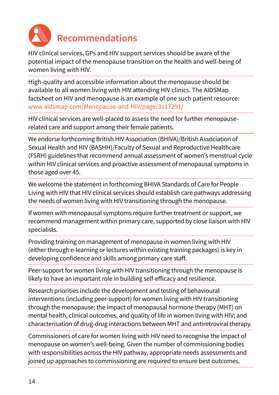<span id="page-13-0"></span>![](_page_13_Picture_0.jpeg)

# **Recommendations**

HIV clinical services, GPs and HIV support services should be aware of the potential impact of the menopause transition on the health and well-being of women living with HIV.

High-quality and accessible information about the menopause should be available to all women living with HIV attending HIV clinics. The AIDSMap factsheet on HIV and menopause is an example of one such patient resource: [www.aidsmap.com/Menopause-and-HIV/page/3117291/](http://www.aidsmap.com/Menopause-and-HIV/page/3117291/ )

HIV clinical services are well-placed to assess the need for further menopauserelated care and support among their female patients.

We endorse forthcoming British HIV Association (BHIVA)/British Association of Sexual Health and HIV (BASHH)/Faculty of Sexual and Reproductive Healthcare (FSRH) guidelines that recommend annual assessment of women's menstrual cycle within HIV clinical services and proactive assessment of menopausal symptoms in those aged over 45.

We welcome the statement in forthcoming BHIVA Standards of Care for People Living with HIV that HIV clinical services should establish care pathways addressing the needs of women living with HIV transitioning through the menopause.

If women with menopausal symptoms require further treatment or support, we recommend management within primary care, supported by close liaison with HIV specialists.

Providing training on management of menopause in women living with HIV (either through e-learning or lectures within existing training packages) is key in developing confidence and skills among primary care staff.

Peer-support for women living with HIV transitioning through the menopause is likely to have an important role in building self-efficacy and resilience.

Research priorities include the development and testing of behavioural interventions (including peer-support) for women living with HIV transitioning through the menopause; the impact of menopausal hormone therapy (MHT) on mental health, clinical outcomes, and quality of life in women living with HIV; and characterisation of drug-drug interactions between MHT and antiretroviral therapy.

Commissioners of care for women living with HIV need to recognise the impact of menopause on women's well-being. Given the number of commissioning bodies with responsibilities across the HIV pathway, appropriate needs assessments and joined up approaches to commissioning are required to ensure best outcomes.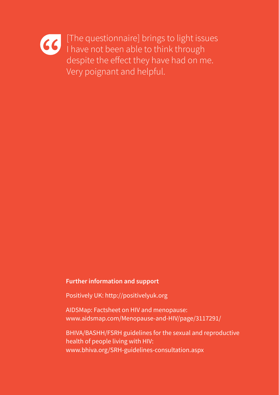[The questionnaire] brings to light issues I have not been able to think through despite the effect they have had on me. Very poignant and helpful.

#### **Further information and support**

Positively UK: [http://positivelyuk.org](http://positivelyuk.org/)

AIDSMap: Factsheet on HIV and menopause: [www.aidsmap.com/Menopause-and-HIV/page/3117291/](http://www.aidsmap.com/Menopause-and-HIV/page/3117291/ )

BHIVA/BASHH/FSRH guidelines for the sexual and reproductive health of people living with HIV: [www.bhiva.org/SRH-guidelines-consultation.aspx](http://www.bhiva.org/SRH-guidelines-consultation.aspx )